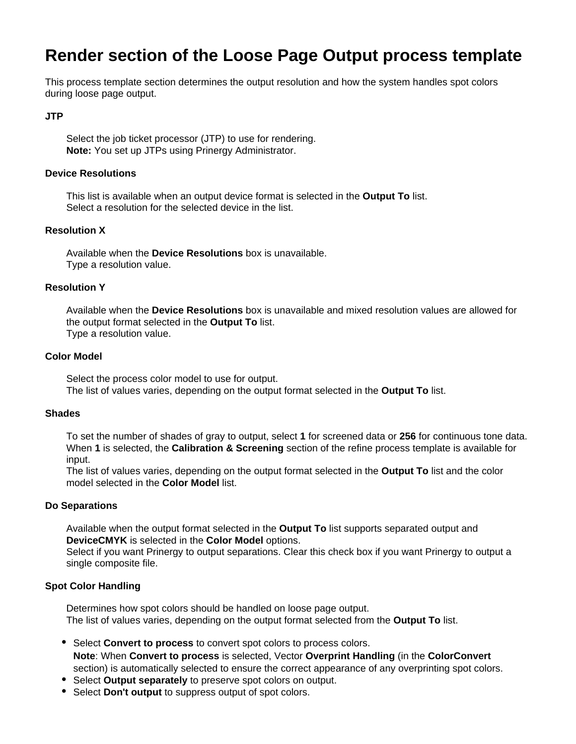# **Render section of the Loose Page Output process template**

This process template section determines the output resolution and how the system handles spot colors during loose page output.

#### **JTP**

Select the job ticket processor (JTP) to use for rendering. **Note:** You set up JTPs using Prinergy Administrator.

#### **Device Resolutions**

This list is available when an output device format is selected in the **Output To** list. Select a resolution for the selected device in the list.

## **Resolution X**

Available when the **Device Resolutions** box is unavailable. Type a resolution value.

#### **Resolution Y**

Available when the **Device Resolutions** box is unavailable and mixed resolution values are allowed for the output format selected in the **Output To** list. Type a resolution value.

## **Color Model**

Select the process color model to use for output. The list of values varies, depending on the output format selected in the **Output To** list.

#### **Shades**

To set the number of shades of gray to output, select **1** for screened data or **256** for continuous tone data. When **1** is selected, the **Calibration & Screening** section of the refine process template is available for input.

The list of values varies, depending on the output format selected in the **Output To** list and the color model selected in the **Color Model** list.

#### **Do Separations**

Available when the output format selected in the **Output To** list supports separated output and **DeviceCMYK** is selected in the **Color Model** options.

Select if you want Prinergy to output separations. Clear this check box if you want Prinergy to output a single composite file.

#### **Spot Color Handling**

Determines how spot colors should be handled on loose page output. The list of values varies, depending on the output format selected from the **Output To** list.

- Select **Convert to process** to convert spot colors to process colors. **Note**: When **Convert to process** is selected, Vector **Overprint Handling** (in the **ColorConvert** section) is automatically selected to ensure the correct appearance of any overprinting spot colors.
- Select **Output separately** to preserve spot colors on output.
- Select **Don't output** to suppress output of spot colors.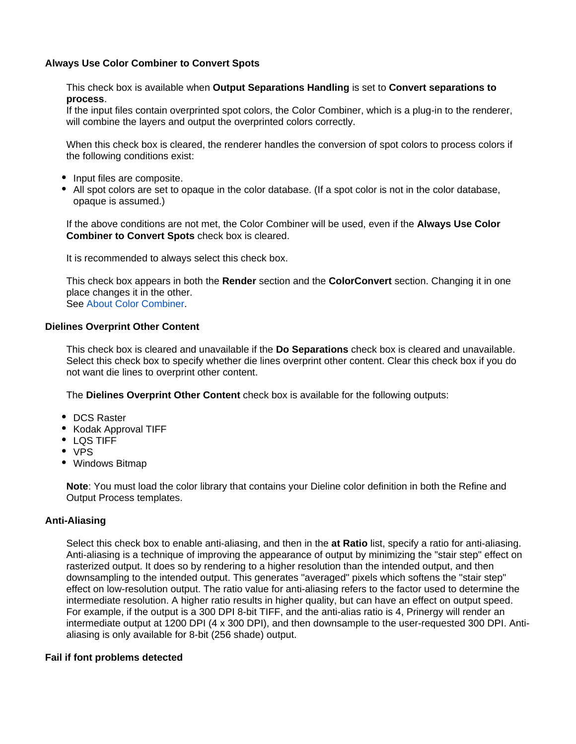## **Always Use Color Combiner to Convert Spots**

This check box is available when **Output Separations Handling** is set to **Convert separations to process**.

If the input files contain overprinted spot colors, the Color Combiner, which is a plug-in to the renderer, will combine the layers and output the overprinted colors correctly.

When this check box is cleared, the renderer handles the conversion of spot colors to process colors if the following conditions exist:

- Input files are composite.
- All spot colors are set to opaque in the color database. (If a spot color is not in the color database, opaque is assumed.)

If the above conditions are not met, the Color Combiner will be used, even if the **Always Use Color Combiner to Convert Spots** check box is cleared.

It is recommended to always select this check box.

This check box appears in both the **Render** section and the **ColorConvert** section. Changing it in one place changes it in the other. See [About Color Combiner.](https://workflowhelp.kodak.com/display/PRIN81/About+Color+Combiner)

## **Dielines Overprint Other Content**

This check box is cleared and unavailable if the **Do Separations** check box is cleared and unavailable. Select this check box to specify whether die lines overprint other content. Clear this check box if you do not want die lines to overprint other content.

The **Dielines Overprint Other Content** check box is available for the following outputs:

- DCS Raster
- Kodak Approval TIFF
- LQS TIFF
- VPS
- Windows Bitmap

**Note**: You must load the color library that contains your Dieline color definition in both the Refine and Output Process templates.

#### **Anti-Aliasing**

Select this check box to enable anti-aliasing, and then in the **at Ratio** list, specify a ratio for anti-aliasing. Anti-aliasing is a technique of improving the appearance of output by minimizing the "stair step" effect on rasterized output. It does so by rendering to a higher resolution than the intended output, and then downsampling to the intended output. This generates "averaged" pixels which softens the "stair step" effect on low-resolution output. The ratio value for anti-aliasing refers to the factor used to determine the intermediate resolution. A higher ratio results in higher quality, but can have an effect on output speed. For example, if the output is a 300 DPI 8-bit TIFF, and the anti-alias ratio is 4, Prinergy will render an intermediate output at 1200 DPI (4 x 300 DPI), and then downsample to the user-requested 300 DPI. Antialiasing is only available for 8-bit (256 shade) output.

#### **Fail if font problems detected**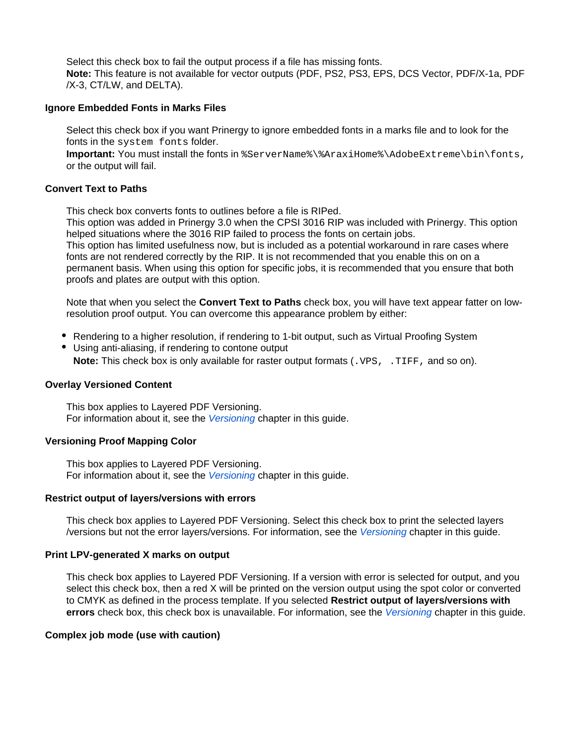Select this check box to fail the output process if a file has missing fonts. **Note:** This feature is not available for vector outputs (PDF, PS2, PS3, EPS, DCS Vector, PDF/X-1a, PDF /X-3, CT/LW, and DELTA).

## **Ignore Embedded Fonts in Marks Files**

Select this check box if you want Prinergy to ignore embedded fonts in a marks file and to look for the fonts in the system fonts folder.

**Important:** You must install the fonts in %ServerName%\%AraxiHome%\AdobeExtreme\bin\fonts, or the output will fail.

## **Convert Text to Paths**

This check box converts fonts to outlines before a file is RIPed.

This option was added in Prinergy 3.0 when the CPSI 3016 RIP was included with Prinergy. This option helped situations where the 3016 RIP failed to process the fonts on certain jobs. This option has limited usefulness now, but is included as a potential workaround in rare cases where fonts are not rendered correctly by the RIP. It is not recommended that you enable this on on a permanent basis. When using this option for specific jobs, it is recommended that you ensure that both proofs and plates are output with this option.

Note that when you select the **Convert Text to Paths** check box, you will have text appear fatter on lowresolution proof output. You can overcome this appearance problem by either:

- Rendering to a higher resolution, if rendering to 1-bit output, such as Virtual Proofing System
- Using anti-aliasing, if rendering to contone output **Note:** This check box is only available for raster output formats (. VPS, . TIFF, and so on).

## **Overlay Versioned Content**

This box applies to Layered PDF Versioning. For information about it, see the [Versioning](https://workflowhelp.kodak.com/display/PRIN81/Versioning) chapter in this guide.

## **Versioning Proof Mapping Color**

This box applies to Layered PDF Versioning. For information about it, see the [Versioning](https://workflowhelp.kodak.com/display/PRIN81/Versioning) chapter in this guide.

#### **Restrict output of layers/versions with errors**

This check box applies to Layered PDF Versioning. Select this check box to print the selected layers /versions but not the error layers/versions. For information, see the [Versioning](https://workflowhelp.kodak.com/display/PRIN81/Versioning) chapter in this guide.

#### **Print LPV-generated X marks on output**

This check box applies to Layered PDF Versioning. If a version with error is selected for output, and you select this check box, then a red X will be printed on the version output using the spot color or converted to CMYK as defined in the process template. If you selected **Restrict output of layers/versions with errors** check box, this check box is unavailable. For information, see the [Versioning](https://workflowhelp.kodak.com/display/PRIN81/Versioning) chapter in this guide.

#### **Complex job mode (use with caution)**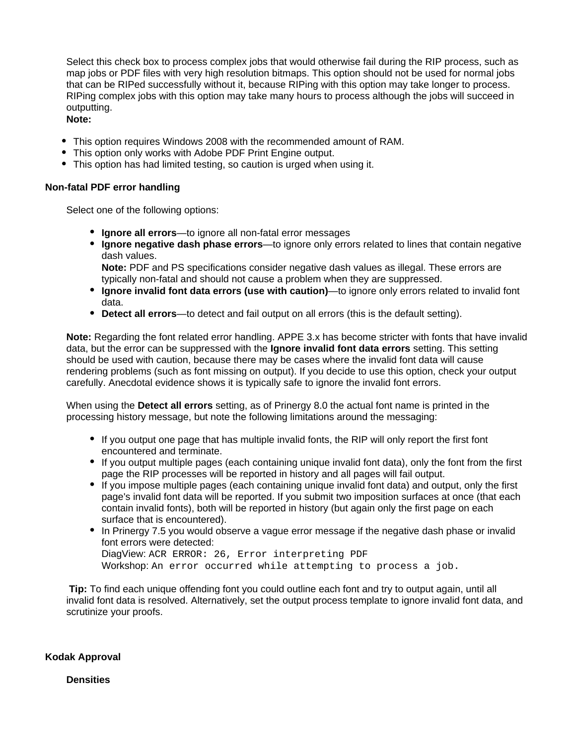Select this check box to process complex jobs that would otherwise fail during the RIP process, such as map jobs or PDF files with very high resolution bitmaps. This option should not be used for normal jobs that can be RIPed successfully without it, because RIPing with this option may take longer to process. RIPing complex jobs with this option may take many hours to process although the jobs will succeed in outputting.

- **Note:**
- This option requires Windows 2008 with the recommended amount of RAM.
- This option only works with Adobe PDF Print Engine output.
- This option has had limited testing, so caution is urged when using it.

## **Non-fatal PDF error handling**

Select one of the following options:

- **Ignore all errors**—to ignore all non-fatal error messages
- **Ignore negative dash phase errors**—to ignore only errors related to lines that contain negative dash values.

**Note:** PDF and PS specifications consider negative dash values as illegal. These errors are typically non-fatal and should not cause a problem when they are suppressed.

- **Ignore invalid font data errors (use with caution)**—to ignore only errors related to invalid font data.
- **Detect all errors**—to detect and fail output on all errors (this is the default setting).

**Note:** Regarding the font related error handling. APPE 3.x has become stricter with fonts that have invalid data, but the error can be suppressed with the **Ignore invalid font data errors** setting. This setting should be used with caution, because there may be cases where the invalid font data will cause rendering problems (such as font missing on output). If you decide to use this option, check your output carefully. Anecdotal evidence shows it is typically safe to ignore the invalid font errors.

When using the **Detect all errors** setting, as of Prinergy 8.0 the actual font name is printed in the processing history message, but note the following limitations around the messaging:

- If you output one page that has multiple invalid fonts, the RIP will only report the first font encountered and terminate.
- If you output multiple pages (each containing unique invalid font data), only the font from the first page the RIP processes will be reported in history and all pages will fail output.
- If you impose multiple pages (each containing unique invalid font data) and output, only the first page's invalid font data will be reported. If you submit two imposition surfaces at once (that each contain invalid fonts), both will be reported in history (but again only the first page on each surface that is encountered).
- In Prinergy 7.5 you would observe a vague error message if the negative dash phase or invalid font errors were detected: DiagView: ACR ERROR: 26, Error interpreting PDF Workshop: An error occurred while attempting to process a job.

**Tip:** To find each unique offending font you could outline each font and try to output again, until all invalid font data is resolved. Alternatively, set the output process template to ignore invalid font data, and scrutinize your proofs.

**Kodak Approval**

**Densities**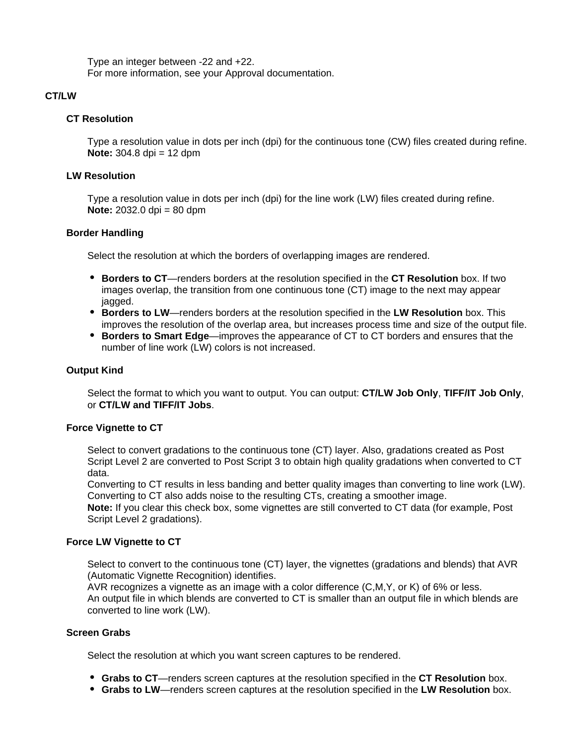Type an integer between -22 and +22. For more information, see your Approval documentation.

## **CT/LW**

## **CT Resolution**

Type a resolution value in dots per inch (dpi) for the continuous tone (CW) files created during refine. **Note:** 304.8 dpi = 12 dpm

#### **LW Resolution**

Type a resolution value in dots per inch (dpi) for the line work (LW) files created during refine. **Note:** 2032.0 dpi = 80 dpm

#### **Border Handling**

Select the resolution at which the borders of overlapping images are rendered.

- **Borders to CT**—renders borders at the resolution specified in the **CT Resolution** box. If two images overlap, the transition from one continuous tone (CT) image to the next may appear jagged.
- **Borders to LW**—renders borders at the resolution specified in the **LW Resolution** box. This improves the resolution of the overlap area, but increases process time and size of the output file.
- **Borders to Smart Edge**—improves the appearance of CT to CT borders and ensures that the number of line work (LW) colors is not increased.

## **Output Kind**

Select the format to which you want to output. You can output: **CT/LW Job Only**, **TIFF/IT Job Only**, or **CT/LW and TIFF/IT Jobs**.

#### **Force Vignette to CT**

Select to convert gradations to the continuous tone (CT) layer. Also, gradations created as Post Script Level 2 are converted to Post Script 3 to obtain high quality gradations when converted to CT data.

Converting to CT results in less banding and better quality images than converting to line work (LW). Converting to CT also adds noise to the resulting CTs, creating a smoother image.

**Note:** If you clear this check box, some vignettes are still converted to CT data (for example, Post Script Level 2 gradations).

## **Force LW Vignette to CT**

Select to convert to the continuous tone (CT) layer, the vignettes (gradations and blends) that AVR (Automatic Vignette Recognition) identifies.

AVR recognizes a vignette as an image with a color difference (C,M,Y, or K) of 6% or less. An output file in which blends are converted to CT is smaller than an output file in which blends are converted to line work (LW).

## **Screen Grabs**

Select the resolution at which you want screen captures to be rendered.

- **Grabs to CT**—renders screen captures at the resolution specified in the **CT Resolution** box.
- **Grabs to LW**—renders screen captures at the resolution specified in the **LW Resolution** box.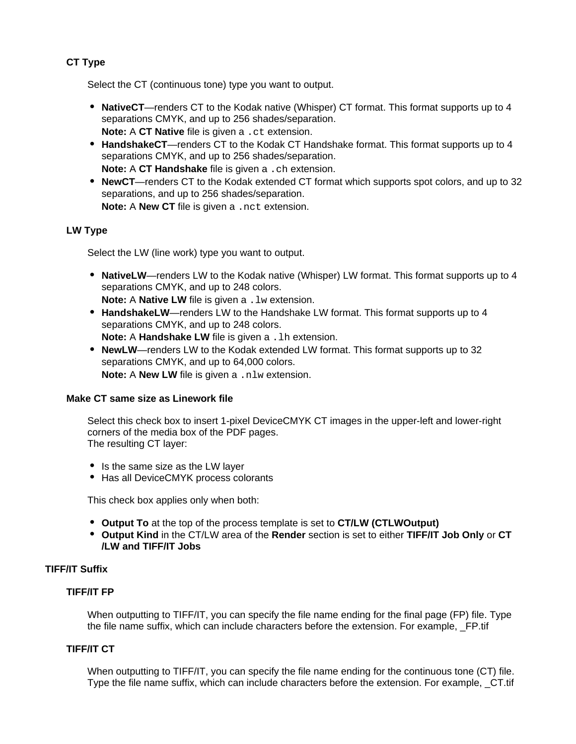# **CT Type**

Select the CT (continuous tone) type you want to output.

- **NativeCT**—renders CT to the Kodak native (Whisper) CT format. This format supports up to 4 separations CMYK, and up to 256 shades/separation. **Note:** A **CT Native** file is given a .ct extension.
- **HandshakeCT**—renders CT to the Kodak CT Handshake format. This format supports up to 4 separations CMYK, and up to 256 shades/separation. **Note:** A **CT Handshake** file is given a .ch extension.
- **NewCT**—renders CT to the Kodak extended CT format which supports spot colors, and up to 32 separations, and up to 256 shades/separation.

**Note:** A **New CT** file is given a .nct extension.

# **LW Type**

Select the LW (line work) type you want to output.

**NativeLW**—renders LW to the Kodak native (Whisper) LW format. This format supports up to 4 separations CMYK, and up to 248 colors.

**Note:** A **Native LW** file is given a . 1w extension.

**HandshakeLW**—renders LW to the Handshake LW format. This format supports up to 4 separations CMYK, and up to 248 colors.

**Note:** A **Handshake LW** file is given a . 1h extension.

**NewLW**—renders LW to the Kodak extended LW format. This format supports up to 32 separations CMYK, and up to 64,000 colors. **Note:** A **New LW** file is given a .nlw extension.

## **Make CT same size as Linework file**

Select this check box to insert 1-pixel DeviceCMYK CT images in the upper-left and lower-right corners of the media box of the PDF pages. The resulting CT layer:

- Is the same size as the LW laver
- Has all DeviceCMYK process colorants

This check box applies only when both:

- **Output To** at the top of the process template is set to **CT/LW (CTLWOutput)**
- **Output Kind** in the CT/LW area of the **Render** section is set to either **TIFF/IT Job Only** or **CT /LW and TIFF/IT Jobs**

# **TIFF/IT Suffix**

# **TIFF/IT FP**

When outputting to TIFF/IT, you can specify the file name ending for the final page (FP) file. Type the file name suffix, which can include characters before the extension. For example, \_FP.tif

## **TIFF/IT CT**

When outputting to TIFF/IT, you can specify the file name ending for the continuous tone (CT) file. Type the file name suffix, which can include characters before the extension. For example, \_CT.tif